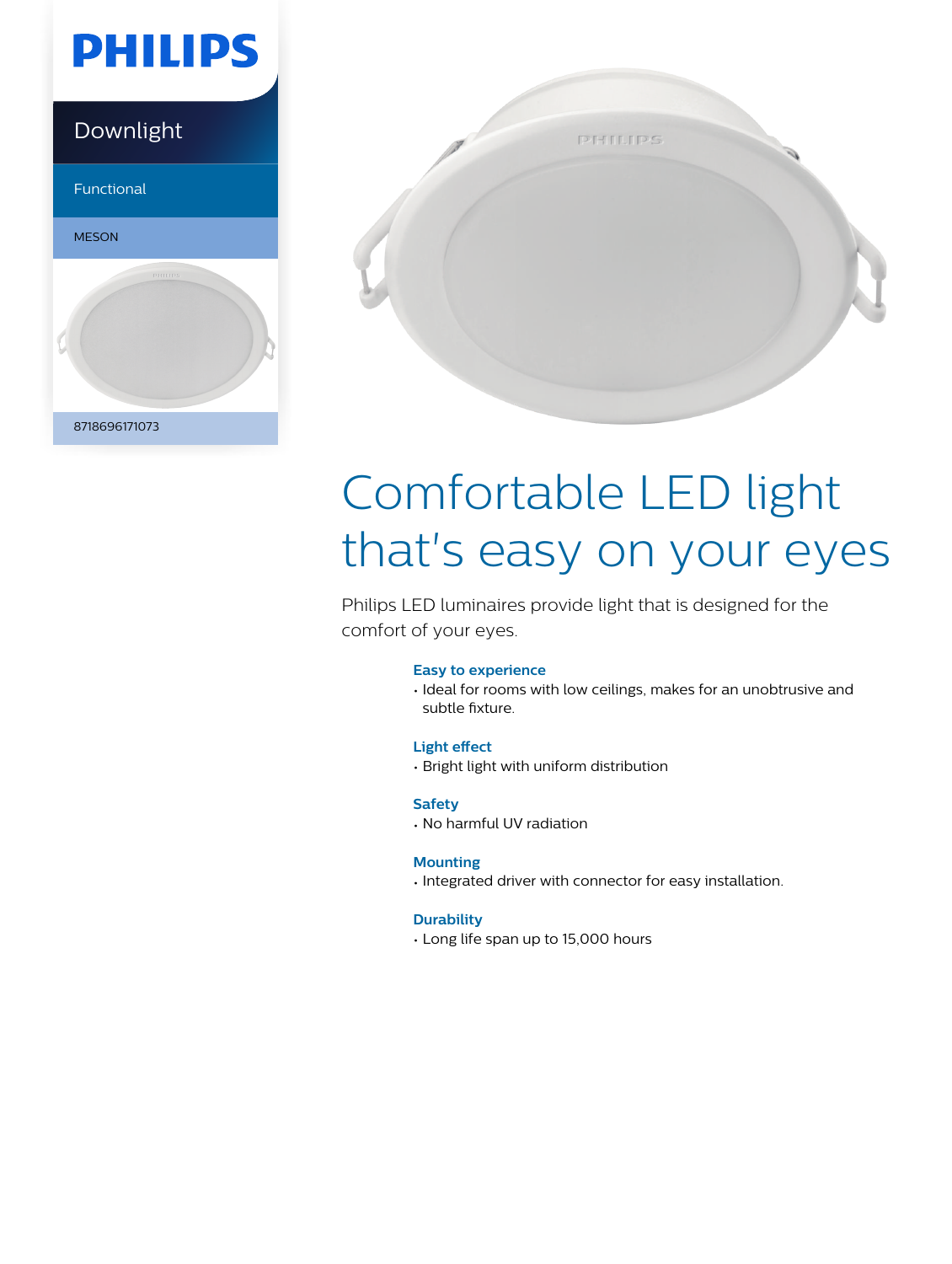

### Downlight

Functional





# Comfortable LED light that's easy on your eyes

Philips LED luminaires provide light that is designed for the comfort of your eyes.

#### **Easy to experience**

• Ideal for rooms with low ceilings, makes for an unobtrusive and subtle fixture.

#### **Light effect**

• Bright light with uniform distribution

#### **Safety**

• No harmful UV radiation

#### **Mounting**

• Integrated driver with connector for easy installation.

#### **Durability**

• Long life span up to 15,000 hours